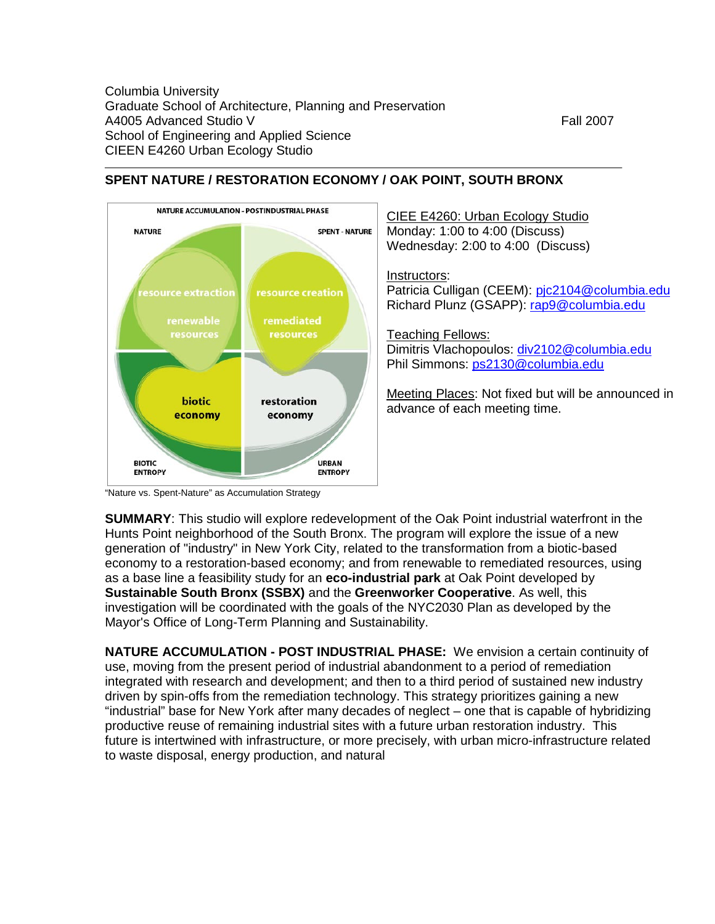

## **SPENT NATURE / RESTORATION ECONOMY / OAK POINT, SOUTH BRONX**

"Nature vs. Spent-Nature" as Accumulation Strategy

**SUMMARY**: This studio will explore redevelopment of the Oak Point industrial waterfront in the Hunts Point neighborhood of the South Bronx. The program will explore the issue of a new generation of "industry" in New York City, related to the transformation from a biotic-based economy to a restoration-based economy; and from renewable to remediated resources, using as a base line a feasibility study for an **eco-industrial park** at Oak Point developed by **Sustainable South Bronx (SSBX)** and the **Greenworker Cooperative**. As well, this investigation will be coordinated with the goals of the NYC2030 Plan as developed by the Mayor's Office of Long-Term Planning and Sustainability.

**NATURE ACCUMULATION - POST INDUSTRIAL PHASE:** We envision a certain continuity of use, moving from the present period of industrial abandonment to a period of remediation integrated with research and development; and then to a third period of sustained new industry driven by spin-offs from the remediation technology. This strategy prioritizes gaining a new "industrial" base for New York after many decades of neglect – one that is capable of hybridizing productive reuse of remaining industrial sites with a future urban restoration industry. This future is intertwined with infrastructure, or more precisely, with urban micro-infrastructure related to waste disposal, energy production, and natural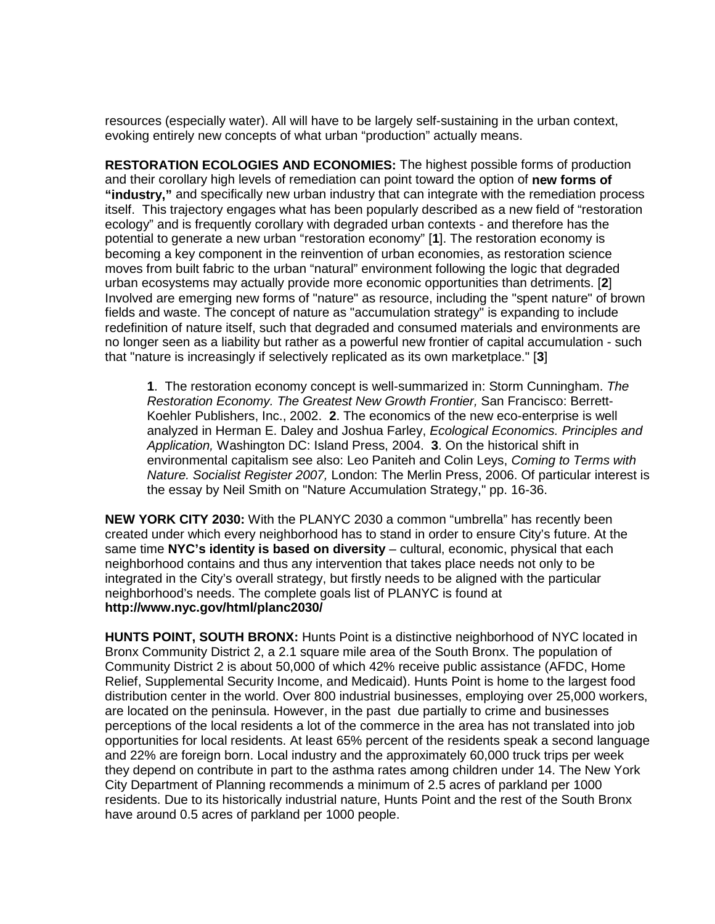resources (especially water). All will have to be largely self-sustaining in the urban context, evoking entirely new concepts of what urban "production" actually means.

**RESTORATION ECOLOGIES AND ECONOMIES:** The highest possible forms of production and their corollary high levels of remediation can point toward the option of **new forms of "industry,"** and specifically new urban industry that can integrate with the remediation process itself. This trajectory engages what has been popularly described as a new field of "restoration ecology" and is frequently corollary with degraded urban contexts - and therefore has the potential to generate a new urban "restoration economy" [**1**]. The restoration economy is becoming a key component in the reinvention of urban economies, as restoration science moves from built fabric to the urban "natural" environment following the logic that degraded urban ecosystems may actually provide more economic opportunities than detriments. [**2**] Involved are emerging new forms of "nature" as resource, including the "spent nature" of brown fields and waste. The concept of nature as "accumulation strategy" is expanding to include redefinition of nature itself, such that degraded and consumed materials and environments are no longer seen as a liability but rather as a powerful new frontier of capital accumulation - such that "nature is increasingly if selectively replicated as its own marketplace." [**3**]

**1**. The restoration economy concept is well-summarized in: Storm Cunningham. *The Restoration Economy. The Greatest New Growth Frontier,* San Francisco: Berrett-Koehler Publishers, Inc., 2002. **2**. The economics of the new eco-enterprise is well analyzed in Herman E. Daley and Joshua Farley, *Ecological Economics. Principles and Application,* Washington DC: Island Press, 2004. **3**. On the historical shift in environmental capitalism see also: Leo Paniteh and Colin Leys, *Coming to Terms with Nature. Socialist Register 2007,* London: The Merlin Press, 2006. Of particular interest is the essay by Neil Smith on "Nature Accumulation Strategy," pp. 16-36.

**NEW YORK CITY 2030:** With the PLANYC 2030 a common "umbrella" has recently been created under which every neighborhood has to stand in order to ensure City's future. At the same time **NYC's identity is based on diversity** – cultural, economic, physical that each neighborhood contains and thus any intervention that takes place needs not only to be integrated in the City's overall strategy, but firstly needs to be aligned with the particular neighborhood's needs. The complete goals list of PLANYC is found at **<http://www.nyc.gov/html/planc2030/>**

**HUNTS POINT, SOUTH BRONX:** Hunts Point is a distinctive neighborhood of NYC located in Bronx Community District 2, a 2.1 square mile area of the South Bronx. The population of Community District 2 is about 50,000 of which 42% receive public assistance (AFDC, Home Relief, Supplemental Security Income, and Medicaid). Hunts Point is home to the largest food distribution center in the world. Over 800 industrial businesses, employing over 25,000 workers, are located on the peninsula. However, in the past due partially to crime and businesses perceptions of the local residents a lot of the commerce in the area has not translated into job opportunities for local residents. At least 65% percent of the residents speak a second language and 22% are foreign born. Local industry and the approximately 60,000 truck trips per week they depend on contribute in part to the asthma rates among children under 14. The New York City Department of Planning recommends a minimum of 2.5 acres of parkland per 1000 residents. Due to its historically industrial nature, Hunts Point and the rest of the South Bronx have around 0.5 acres of parkland per 1000 people.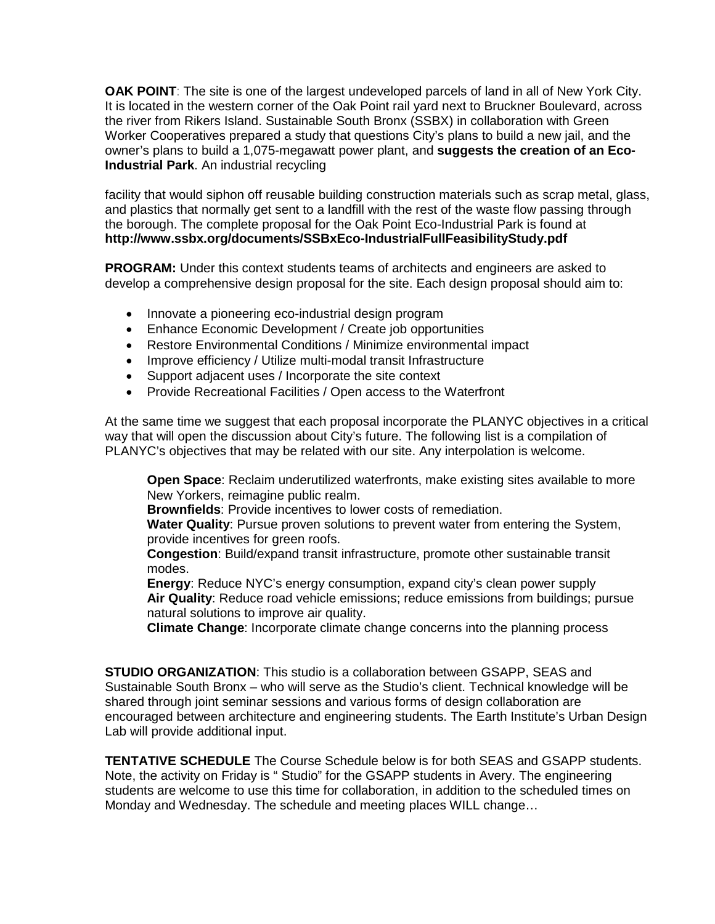**OAK POINT**: The site is one of the largest undeveloped parcels of land in all of New York City. It is located in the western corner of the Oak Point rail yard next to Bruckner Boulevard, across the river from Rikers Island. Sustainable South Bronx (SSBX) in collaboration with Green Worker Cooperatives prepared a study that questions City's plans to build a new jail, and the owner's plans to build a 1,075-megawatt power plant, and **suggests the creation of an Eco-Industrial Park**. An industrial recycling

facility that would siphon off reusable building construction materials such as scrap metal, glass, and plastics that normally get sent to a landfill with the rest of the waste flow passing through the borough. The complete proposal for the Oak Point Eco-Industrial Park is found at **http://www.ssbx.org/documents/SSBxEco-IndustrialFullFeasibilityStudy.pdf**

**PROGRAM:** Under this context students teams of architects and engineers are asked to develop a comprehensive design proposal for the site. Each design proposal should aim to:

- Innovate a pioneering eco-industrial design program
- Enhance Economic Development / Create job opportunities
- Restore Environmental Conditions / Minimize environmental impact
- Improve efficiency / Utilize multi-modal transit Infrastructure
- Support adjacent uses / Incorporate the site context
- Provide Recreational Facilities / Open access to the Waterfront

At the same time we suggest that each proposal incorporate the PLANYC objectives in a critical way that will open the discussion about City's future. The following list is a compilation of PLANYC's objectives that may be related with our site. Any interpolation is welcome.

**Open Space**: Reclaim underutilized waterfronts, make existing sites available to more New Yorkers, reimagine public realm.

**Brownfields**: Provide incentives to lower costs of remediation.

**Water Quality**: Pursue proven solutions to prevent water from entering the System, provide incentives for green roofs.

**Congestion**: Build/expand transit infrastructure, promote other sustainable transit modes.

**Energy**: Reduce NYC's energy consumption, expand city's clean power supply **Air Quality**: Reduce road vehicle emissions; reduce emissions from buildings; pursue natural solutions to improve air quality.

**Climate Change**: Incorporate climate change concerns into the planning process

**STUDIO ORGANIZATION**: This studio is a collaboration between GSAPP, SEAS and Sustainable South Bronx – who will serve as the Studio's client. Technical knowledge will be shared through joint seminar sessions and various forms of design collaboration are encouraged between architecture and engineering students. The Earth Institute's Urban Design Lab will provide additional input.

**TENTATIVE SCHEDULE** The Course Schedule below is for both SEAS and GSAPP students. Note, the activity on Friday is " Studio" for the GSAPP students in Avery. The engineering students are welcome to use this time for collaboration, in addition to the scheduled times on Monday and Wednesday. The schedule and meeting places WILL change…